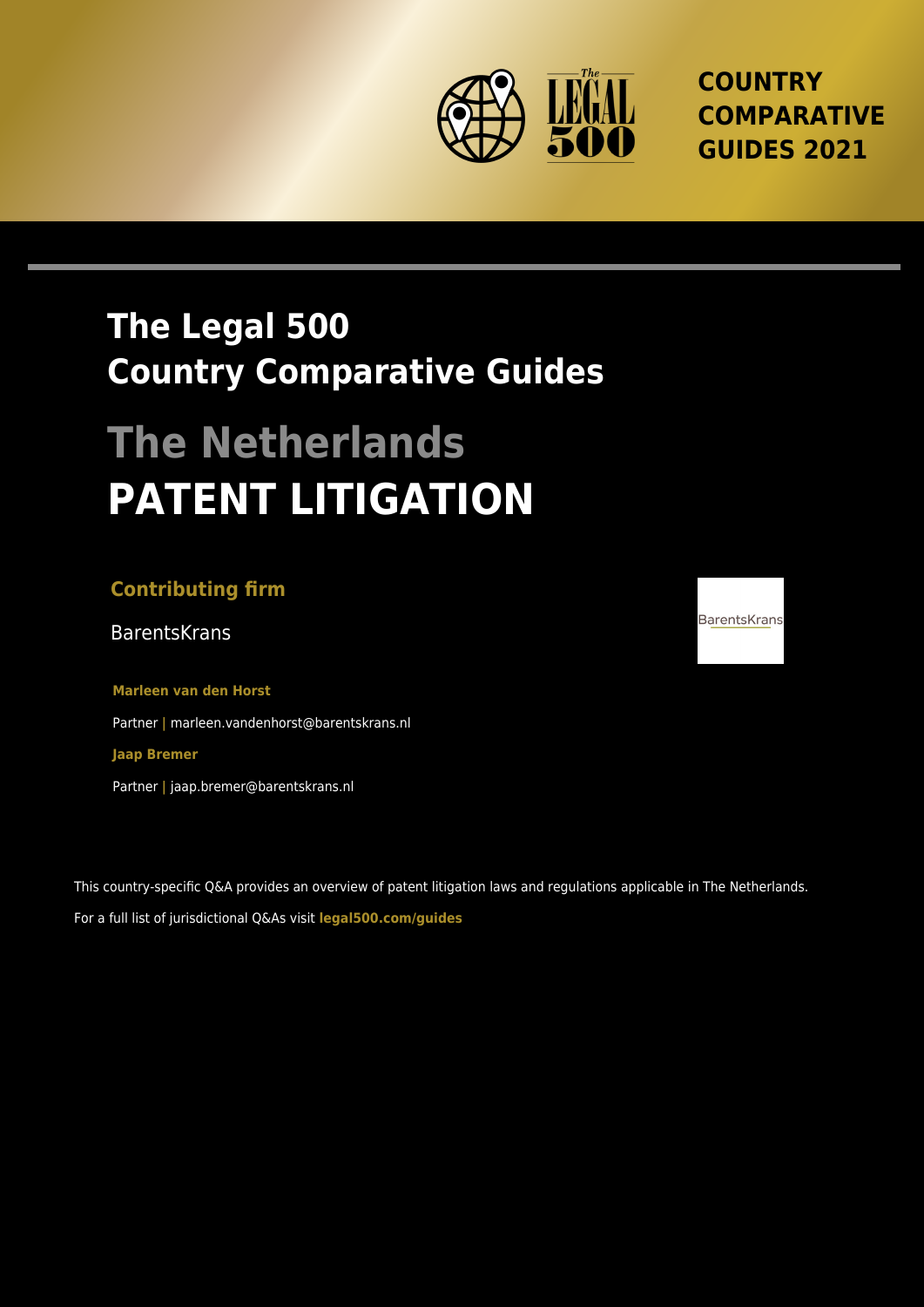

**COUNTRY COMPARATIVE GUIDES 2021**

## **The Legal 500 Country Comparative Guides**

# **The Netherlands PATENT LITIGATION**

## **Contributing firm**

BarentsKrans and the settlement of the settlement of the settlement of the BarentsKrans and BarentsKrans and B

**Marleen van den Horst** Partner **|** marleen.vandenhorst@barentskrans.nl **Jaap Bremer**

Partner **|** jaap.bremer@barentskrans.nl

This country-specific Q&A provides an overview of patent litigation laws and regulations applicable in The Netherlands. For a full list of jurisdictional Q&As visit **[legal500.com/guides](https://www.legal500.com/guides/)**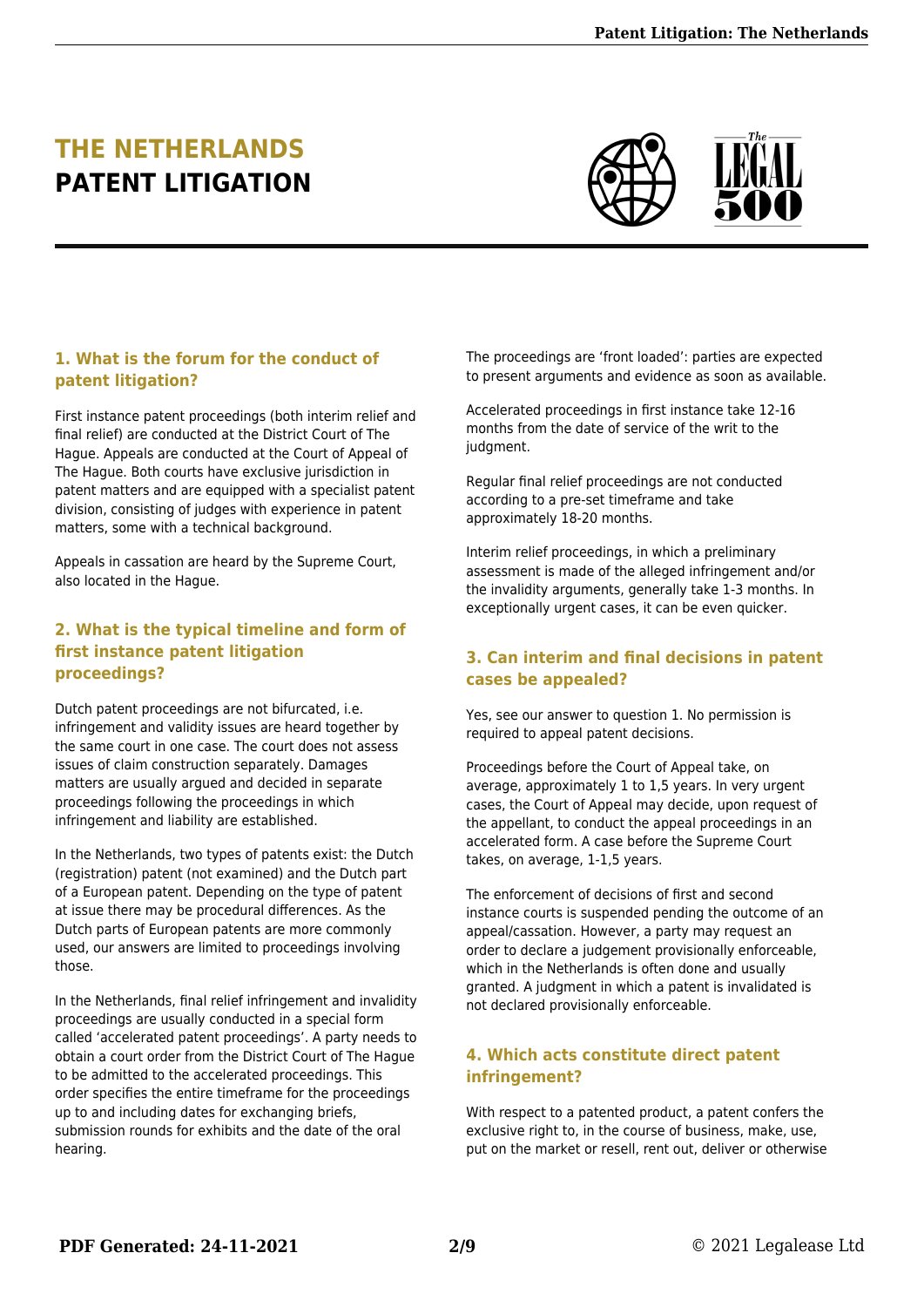## **THE NETHERLANDS PATENT LITIGATION**



#### **1. What is the forum for the conduct of patent litigation?**

First instance patent proceedings (both interim relief and final relief) are conducted at the District Court of The Hague. Appeals are conducted at the Court of Appeal of The Hague. Both courts have exclusive jurisdiction in patent matters and are equipped with a specialist patent division, consisting of judges with experience in patent matters, some with a technical background.

Appeals in cassation are heard by the Supreme Court, also located in the Hague.

#### **2. What is the typical timeline and form of first instance patent litigation proceedings?**

Dutch patent proceedings are not bifurcated, i.e. infringement and validity issues are heard together by the same court in one case. The court does not assess issues of claim construction separately. Damages matters are usually argued and decided in separate proceedings following the proceedings in which infringement and liability are established.

In the Netherlands, two types of patents exist: the Dutch (registration) patent (not examined) and the Dutch part of a European patent. Depending on the type of patent at issue there may be procedural differences. As the Dutch parts of European patents are more commonly used, our answers are limited to proceedings involving those.

In the Netherlands, final relief infringement and invalidity proceedings are usually conducted in a special form called 'accelerated patent proceedings'. A party needs to obtain a court order from the District Court of The Hague to be admitted to the accelerated proceedings. This order specifies the entire timeframe for the proceedings up to and including dates for exchanging briefs, submission rounds for exhibits and the date of the oral hearing.

The proceedings are 'front loaded': parties are expected to present arguments and evidence as soon as available.

Accelerated proceedings in first instance take 12-16 months from the date of service of the writ to the judgment.

Regular final relief proceedings are not conducted according to a pre-set timeframe and take approximately 18-20 months.

Interim relief proceedings, in which a preliminary assessment is made of the alleged infringement and/or the invalidity arguments, generally take 1-3 months. In exceptionally urgent cases, it can be even quicker.

#### **3. Can interim and final decisions in patent cases be appealed?**

Yes, see our answer to question 1. No permission is required to appeal patent decisions.

Proceedings before the Court of Appeal take, on average, approximately 1 to 1,5 years. In very urgent cases, the Court of Appeal may decide, upon request of the appellant, to conduct the appeal proceedings in an accelerated form. A case before the Supreme Court takes, on average, 1-1,5 years.

The enforcement of decisions of first and second instance courts is suspended pending the outcome of an appeal/cassation. However, a party may request an order to declare a judgement provisionally enforceable, which in the Netherlands is often done and usually granted. A judgment in which a patent is invalidated is not declared provisionally enforceable.

#### **4. Which acts constitute direct patent infringement?**

With respect to a patented product, a patent confers the exclusive right to, in the course of business, make, use, put on the market or resell, rent out, deliver or otherwise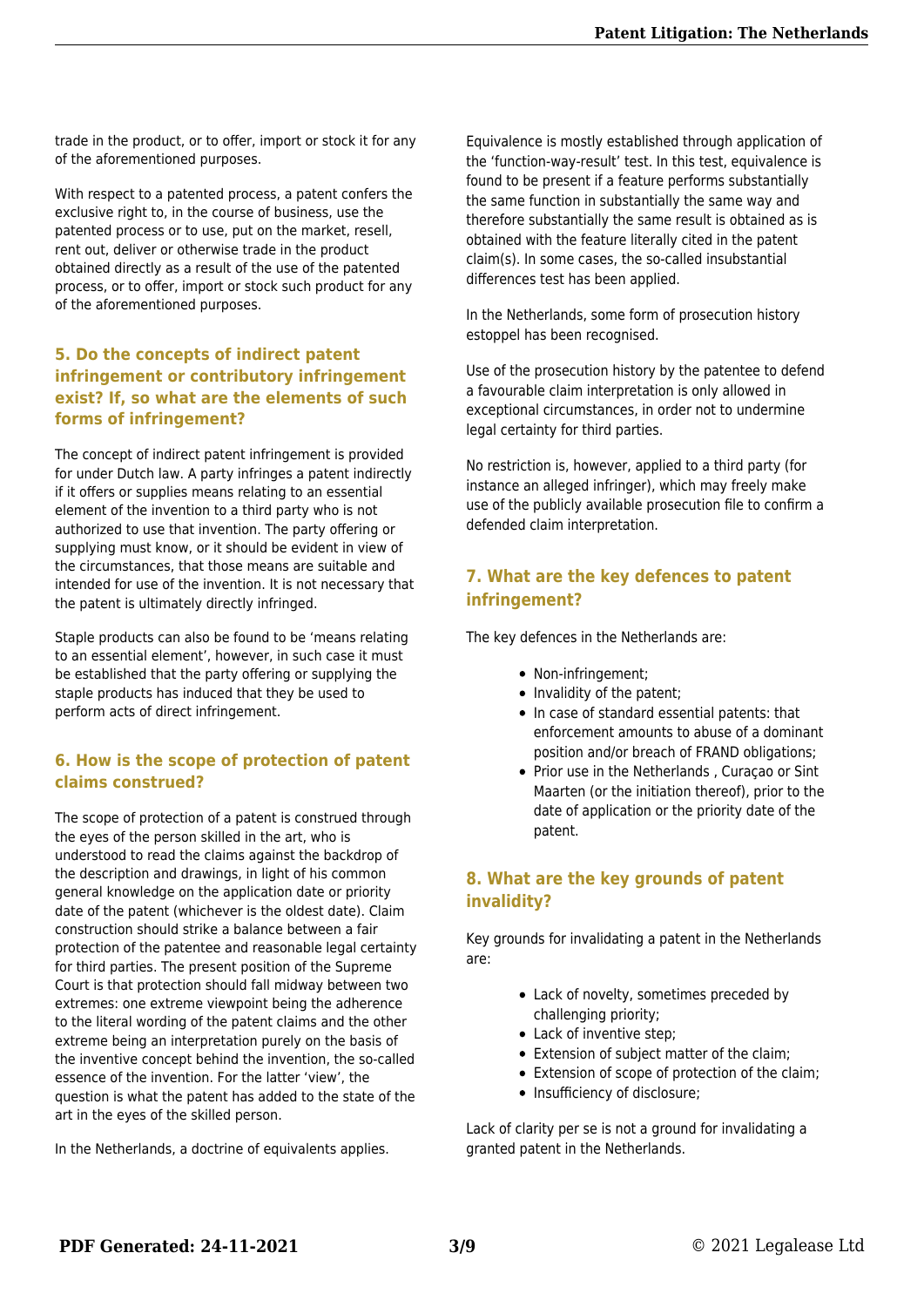trade in the product, or to offer, import or stock it for any of the aforementioned purposes.

With respect to a patented process, a patent confers the exclusive right to, in the course of business, use the patented process or to use, put on the market, resell, rent out, deliver or otherwise trade in the product obtained directly as a result of the use of the patented process, or to offer, import or stock such product for any of the aforementioned purposes.

#### **5. Do the concepts of indirect patent infringement or contributory infringement exist? If, so what are the elements of such forms of infringement?**

The concept of indirect patent infringement is provided for under Dutch law. A party infringes a patent indirectly if it offers or supplies means relating to an essential element of the invention to a third party who is not authorized to use that invention. The party offering or supplying must know, or it should be evident in view of the circumstances, that those means are suitable and intended for use of the invention. It is not necessary that the patent is ultimately directly infringed.

Staple products can also be found to be 'means relating to an essential element', however, in such case it must be established that the party offering or supplying the staple products has induced that they be used to perform acts of direct infringement.

#### **6. How is the scope of protection of patent claims construed?**

The scope of protection of a patent is construed through the eyes of the person skilled in the art, who is understood to read the claims against the backdrop of the description and drawings, in light of his common general knowledge on the application date or priority date of the patent (whichever is the oldest date). Claim construction should strike a balance between a fair protection of the patentee and reasonable legal certainty for third parties. The present position of the Supreme Court is that protection should fall midway between two extremes: one extreme viewpoint being the adherence to the literal wording of the patent claims and the other extreme being an interpretation purely on the basis of the inventive concept behind the invention, the so-called essence of the invention. For the latter 'view', the question is what the patent has added to the state of the art in the eyes of the skilled person.

In the Netherlands, a doctrine of equivalents applies.

Equivalence is mostly established through application of the 'function-way-result' test. In this test, equivalence is found to be present if a feature performs substantially the same function in substantially the same way and therefore substantially the same result is obtained as is obtained with the feature literally cited in the patent claim(s). In some cases, the so-called insubstantial differences test has been applied.

In the Netherlands, some form of prosecution history estoppel has been recognised.

Use of the prosecution history by the patentee to defend a favourable claim interpretation is only allowed in exceptional circumstances, in order not to undermine legal certainty for third parties.

No restriction is, however, applied to a third party (for instance an alleged infringer), which may freely make use of the publicly available prosecution file to confirm a defended claim interpretation.

#### **7. What are the key defences to patent infringement?**

The key defences in the Netherlands are:

- Non-infringement:
- Invalidity of the patent;
- In case of standard essential patents: that enforcement amounts to abuse of a dominant position and/or breach of FRAND obligations;
- Prior use in the Netherlands , Curaçao or Sint Maarten (or the initiation thereof), prior to the date of application or the priority date of the patent.

#### **8. What are the key grounds of patent invalidity?**

Key grounds for invalidating a patent in the Netherlands are:

- Lack of novelty, sometimes preceded by challenging priority;
- Lack of inventive step;
- Extension of subject matter of the claim;
- Extension of scope of protection of the claim;
- Insufficiency of disclosure;

Lack of clarity per se is not a ground for invalidating a granted patent in the Netherlands.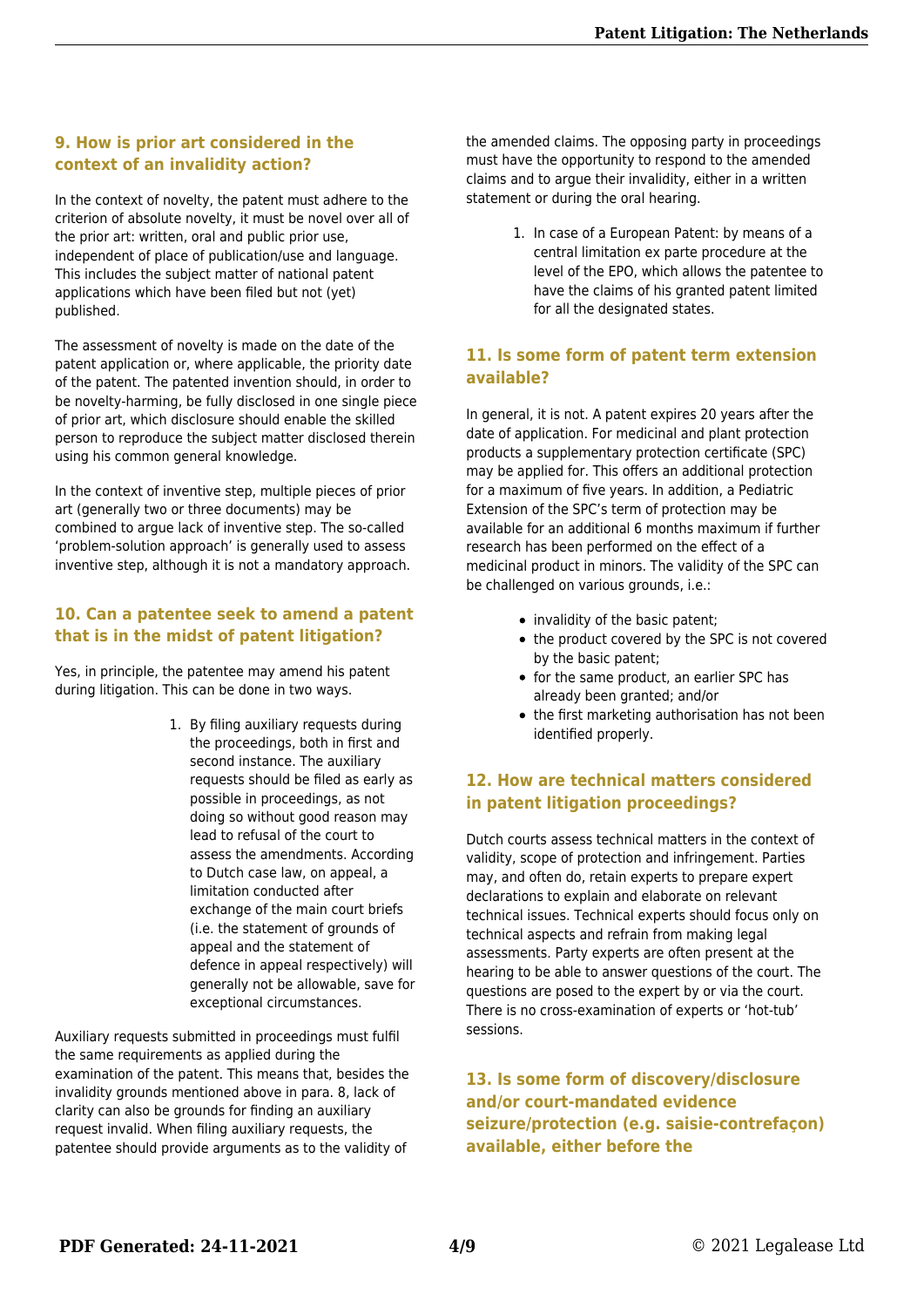#### **9. How is prior art considered in the context of an invalidity action?**

In the context of novelty, the patent must adhere to the criterion of absolute novelty, it must be novel over all of the prior art: written, oral and public prior use, independent of place of publication/use and language. This includes the subject matter of national patent applications which have been filed but not (yet) published.

The assessment of novelty is made on the date of the patent application or, where applicable, the priority date of the patent. The patented invention should, in order to be novelty-harming, be fully disclosed in one single piece of prior art, which disclosure should enable the skilled person to reproduce the subject matter disclosed therein using his common general knowledge.

In the context of inventive step, multiple pieces of prior art (generally two or three documents) may be combined to argue lack of inventive step. The so-called 'problem-solution approach' is generally used to assess inventive step, although it is not a mandatory approach.

#### **10. Can a patentee seek to amend a patent that is in the midst of patent litigation?**

Yes, in principle, the patentee may amend his patent during litigation. This can be done in two ways.

> 1. By filing auxiliary requests during the proceedings, both in first and second instance. The auxiliary requests should be filed as early as possible in proceedings, as not doing so without good reason may lead to refusal of the court to assess the amendments. According to Dutch case law, on appeal, a limitation conducted after exchange of the main court briefs (i.e. the statement of grounds of appeal and the statement of defence in appeal respectively) will generally not be allowable, save for exceptional circumstances.

Auxiliary requests submitted in proceedings must fulfil the same requirements as applied during the examination of the patent. This means that, besides the invalidity grounds mentioned above in para. 8, lack of clarity can also be grounds for finding an auxiliary request invalid. When filing auxiliary requests, the patentee should provide arguments as to the validity of

the amended claims. The opposing party in proceedings must have the opportunity to respond to the amended claims and to argue their invalidity, either in a written statement or during the oral hearing.

> 1. In case of a European Patent: by means of a central limitation ex parte procedure at the level of the EPO, which allows the patentee to have the claims of his granted patent limited for all the designated states.

#### **11. Is some form of patent term extension available?**

In general, it is not. A patent expires 20 years after the date of application. For medicinal and plant protection products a supplementary protection certificate (SPC) may be applied for. This offers an additional protection for a maximum of five years. In addition, a Pediatric Extension of the SPC's term of protection may be available for an additional 6 months maximum if further research has been performed on the effect of a medicinal product in minors. The validity of the SPC can be challenged on various grounds, i.e.:

- invalidity of the basic patent;
- the product covered by the SPC is not covered by the basic patent;
- for the same product, an earlier SPC has already been granted; and/or
- the first marketing authorisation has not been identified properly.

#### **12. How are technical matters considered in patent litigation proceedings?**

Dutch courts assess technical matters in the context of validity, scope of protection and infringement. Parties may, and often do, retain experts to prepare expert declarations to explain and elaborate on relevant technical issues. Technical experts should focus only on technical aspects and refrain from making legal assessments. Party experts are often present at the hearing to be able to answer questions of the court. The questions are posed to the expert by or via the court. There is no cross-examination of experts or 'hot-tub' sessions.

**13. Is some form of discovery/disclosure and/or court-mandated evidence seizure/protection (e.g. saisie-contrefaçon) available, either before the**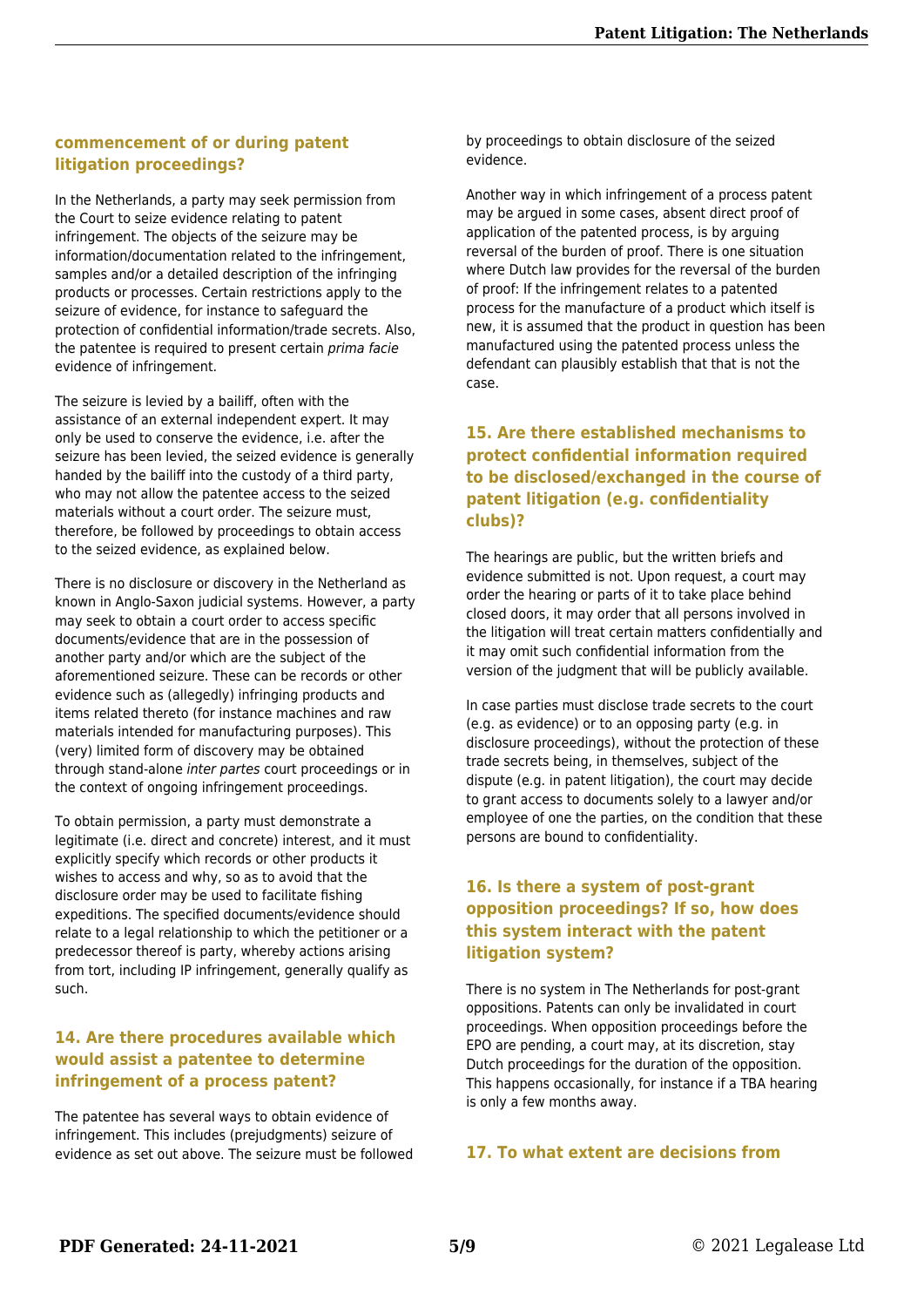#### **commencement of or during patent litigation proceedings?**

In the Netherlands, a party may seek permission from the Court to seize evidence relating to patent infringement. The objects of the seizure may be information/documentation related to the infringement, samples and/or a detailed description of the infringing products or processes. Certain restrictions apply to the seizure of evidence, for instance to safeguard the protection of confidential information/trade secrets. Also, the patentee is required to present certain prima facie evidence of infringement.

The seizure is levied by a bailiff, often with the assistance of an external independent expert. It may only be used to conserve the evidence, i.e. after the seizure has been levied, the seized evidence is generally handed by the bailiff into the custody of a third party, who may not allow the patentee access to the seized materials without a court order. The seizure must, therefore, be followed by proceedings to obtain access to the seized evidence, as explained below.

There is no disclosure or discovery in the Netherland as known in Anglo-Saxon judicial systems. However, a party may seek to obtain a court order to access specific documents/evidence that are in the possession of another party and/or which are the subject of the aforementioned seizure. These can be records or other evidence such as (allegedly) infringing products and items related thereto (for instance machines and raw materials intended for manufacturing purposes). This (very) limited form of discovery may be obtained through stand-alone inter partes court proceedings or in the context of ongoing infringement proceedings.

To obtain permission, a party must demonstrate a legitimate (i.e. direct and concrete) interest, and it must explicitly specify which records or other products it wishes to access and why, so as to avoid that the disclosure order may be used to facilitate fishing expeditions. The specified documents/evidence should relate to a legal relationship to which the petitioner or a predecessor thereof is party, whereby actions arising from tort, including IP infringement, generally qualify as such.

#### **14. Are there procedures available which would assist a patentee to determine infringement of a process patent?**

The patentee has several ways to obtain evidence of infringement. This includes (prejudgments) seizure of evidence as set out above. The seizure must be followed by proceedings to obtain disclosure of the seized evidence.

Another way in which infringement of a process patent may be argued in some cases, absent direct proof of application of the patented process, is by arguing reversal of the burden of proof. There is one situation where Dutch law provides for the reversal of the burden of proof: If the infringement relates to a patented process for the manufacture of a product which itself is new, it is assumed that the product in question has been manufactured using the patented process unless the defendant can plausibly establish that that is not the case.

#### **15. Are there established mechanisms to protect confidential information required to be disclosed/exchanged in the course of patent litigation (e.g. confidentiality clubs)?**

The hearings are public, but the written briefs and evidence submitted is not. Upon request, a court may order the hearing or parts of it to take place behind closed doors, it may order that all persons involved in the litigation will treat certain matters confidentially and it may omit such confidential information from the version of the judgment that will be publicly available.

In case parties must disclose trade secrets to the court (e.g. as evidence) or to an opposing party (e.g. in disclosure proceedings), without the protection of these trade secrets being, in themselves, subject of the dispute (e.g. in patent litigation), the court may decide to grant access to documents solely to a lawyer and/or employee of one the parties, on the condition that these persons are bound to confidentiality.

#### **16. Is there a system of post-grant opposition proceedings? If so, how does this system interact with the patent litigation system?**

There is no system in The Netherlands for post-grant oppositions. Patents can only be invalidated in court proceedings. When opposition proceedings before the EPO are pending, a court may, at its discretion, stay Dutch proceedings for the duration of the opposition. This happens occasionally, for instance if a TBA hearing is only a few months away.

#### **17. To what extent are decisions from**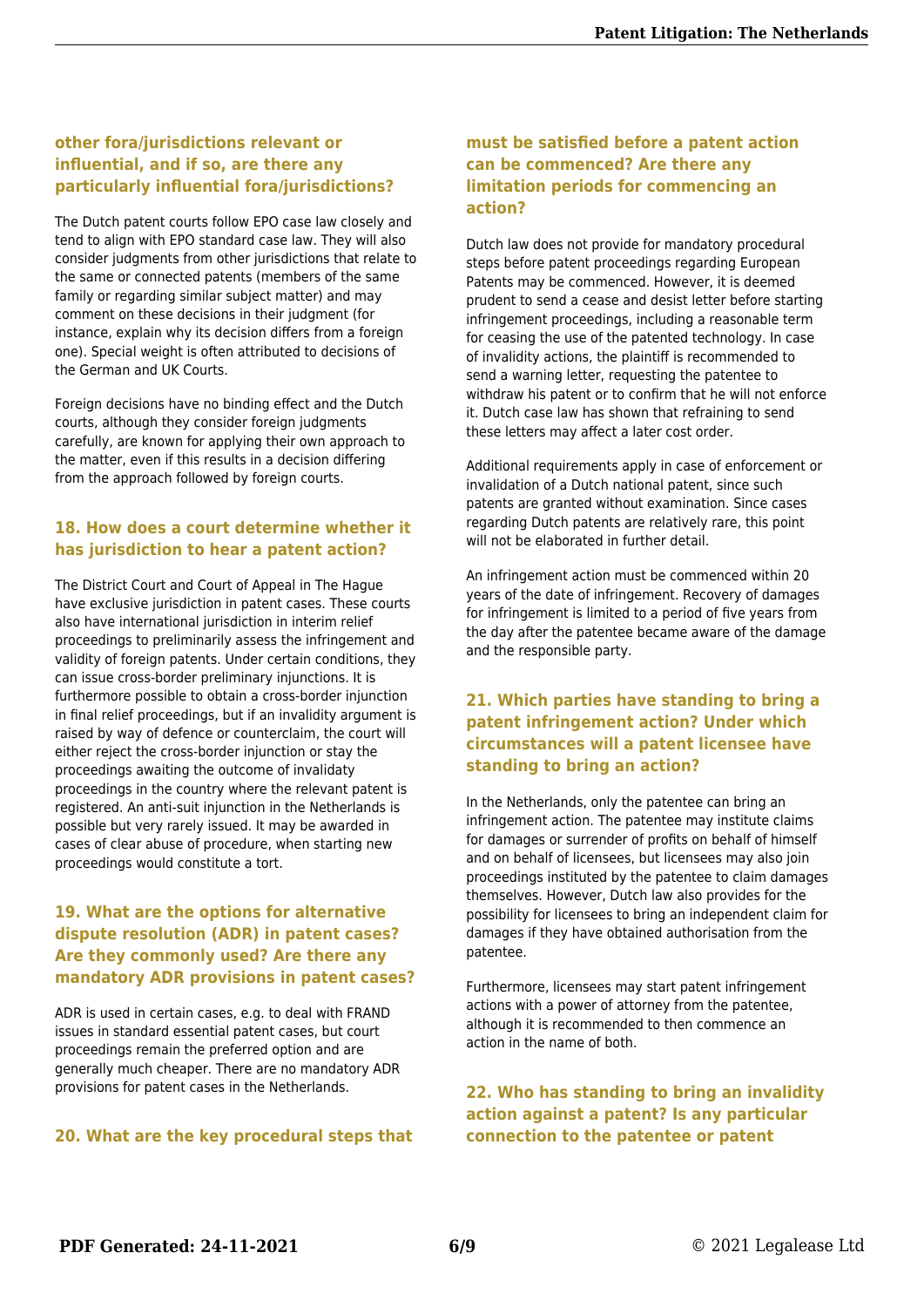#### **other fora/jurisdictions relevant or influential, and if so, are there any particularly influential fora/jurisdictions?**

The Dutch patent courts follow EPO case law closely and tend to align with EPO standard case law. They will also consider judgments from other jurisdictions that relate to the same or connected patents (members of the same family or regarding similar subject matter) and may comment on these decisions in their judgment (for instance, explain why its decision differs from a foreign one). Special weight is often attributed to decisions of the German and UK Courts.

Foreign decisions have no binding effect and the Dutch courts, although they consider foreign judgments carefully, are known for applying their own approach to the matter, even if this results in a decision differing from the approach followed by foreign courts.

#### **18. How does a court determine whether it has jurisdiction to hear a patent action?**

The District Court and Court of Appeal in The Hague have exclusive jurisdiction in patent cases. These courts also have international jurisdiction in interim relief proceedings to preliminarily assess the infringement and validity of foreign patents. Under certain conditions, they can issue cross-border preliminary injunctions. It is furthermore possible to obtain a cross-border injunction in final relief proceedings, but if an invalidity argument is raised by way of defence or counterclaim, the court will either reject the cross-border injunction or stay the proceedings awaiting the outcome of invalidaty proceedings in the country where the relevant patent is registered. An anti-suit injunction in the Netherlands is possible but very rarely issued. It may be awarded in cases of clear abuse of procedure, when starting new proceedings would constitute a tort.

#### **19. What are the options for alternative dispute resolution (ADR) in patent cases? Are they commonly used? Are there any mandatory ADR provisions in patent cases?**

ADR is used in certain cases, e.g. to deal with FRAND issues in standard essential patent cases, but court proceedings remain the preferred option and are generally much cheaper. There are no mandatory ADR provisions for patent cases in the Netherlands.

#### **20. What are the key procedural steps that**

#### **must be satisfied before a patent action can be commenced? Are there any limitation periods for commencing an action?**

Dutch law does not provide for mandatory procedural steps before patent proceedings regarding European Patents may be commenced. However, it is deemed prudent to send a cease and desist letter before starting infringement proceedings, including a reasonable term for ceasing the use of the patented technology. In case of invalidity actions, the plaintiff is recommended to send a warning letter, requesting the patentee to withdraw his patent or to confirm that he will not enforce it. Dutch case law has shown that refraining to send these letters may affect a later cost order.

Additional requirements apply in case of enforcement or invalidation of a Dutch national patent, since such patents are granted without examination. Since cases regarding Dutch patents are relatively rare, this point will not be elaborated in further detail.

An infringement action must be commenced within 20 years of the date of infringement. Recovery of damages for infringement is limited to a period of five years from the day after the patentee became aware of the damage and the responsible party.

#### **21. Which parties have standing to bring a patent infringement action? Under which circumstances will a patent licensee have standing to bring an action?**

In the Netherlands, only the patentee can bring an infringement action. The patentee may institute claims for damages or surrender of profits on behalf of himself and on behalf of licensees, but licensees may also join proceedings instituted by the patentee to claim damages themselves. However, Dutch law also provides for the possibility for licensees to bring an independent claim for damages if they have obtained authorisation from the patentee.

Furthermore, licensees may start patent infringement actions with a power of attorney from the patentee, although it is recommended to then commence an action in the name of both.

#### **22. Who has standing to bring an invalidity action against a patent? Is any particular connection to the patentee or patent**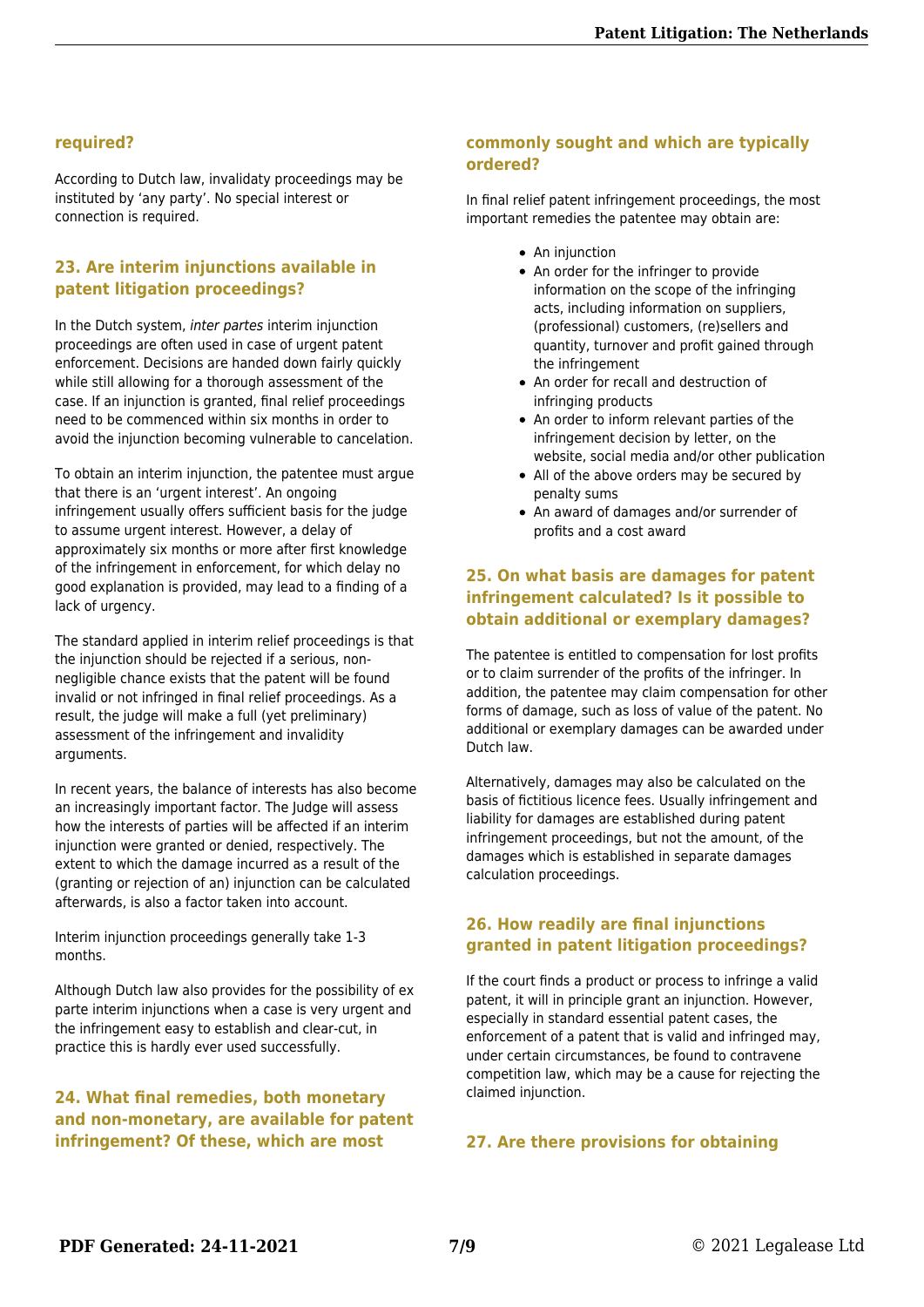#### **required?**

According to Dutch law, invalidaty proceedings may be instituted by 'any party'. No special interest or connection is required.

#### **23. Are interim injunctions available in patent litigation proceedings?**

In the Dutch system, inter partes interim injunction proceedings are often used in case of urgent patent enforcement. Decisions are handed down fairly quickly while still allowing for a thorough assessment of the case. If an injunction is granted, final relief proceedings need to be commenced within six months in order to avoid the injunction becoming vulnerable to cancelation.

To obtain an interim injunction, the patentee must argue that there is an 'urgent interest'. An ongoing infringement usually offers sufficient basis for the judge to assume urgent interest. However, a delay of approximately six months or more after first knowledge of the infringement in enforcement, for which delay no good explanation is provided, may lead to a finding of a lack of urgency.

The standard applied in interim relief proceedings is that the injunction should be rejected if a serious, nonnegligible chance exists that the patent will be found invalid or not infringed in final relief proceedings. As a result, the judge will make a full (yet preliminary) assessment of the infringement and invalidity arguments.

In recent years, the balance of interests has also become an increasingly important factor. The Judge will assess how the interests of parties will be affected if an interim injunction were granted or denied, respectively. The extent to which the damage incurred as a result of the (granting or rejection of an) injunction can be calculated afterwards, is also a factor taken into account.

Interim injunction proceedings generally take 1-3 months.

Although Dutch law also provides for the possibility of ex parte interim injunctions when a case is very urgent and the infringement easy to establish and clear-cut, in practice this is hardly ever used successfully.

#### **24. What final remedies, both monetary and non-monetary, are available for patent infringement? Of these, which are most**

#### **commonly sought and which are typically ordered?**

In final relief patent infringement proceedings, the most important remedies the patentee may obtain are:

- An iniunction
- An order for the infringer to provide information on the scope of the infringing acts, including information on suppliers, (professional) customers, (re)sellers and quantity, turnover and profit gained through the infringement
- An order for recall and destruction of infringing products
- An order to inform relevant parties of the infringement decision by letter, on the website, social media and/or other publication
- All of the above orders may be secured by penalty sums
- An award of damages and/or surrender of profits and a cost award

#### **25. On what basis are damages for patent infringement calculated? Is it possible to obtain additional or exemplary damages?**

The patentee is entitled to compensation for lost profits or to claim surrender of the profits of the infringer. In addition, the patentee may claim compensation for other forms of damage, such as loss of value of the patent. No additional or exemplary damages can be awarded under Dutch law.

Alternatively, damages may also be calculated on the basis of fictitious licence fees. Usually infringement and liability for damages are established during patent infringement proceedings, but not the amount, of the damages which is established in separate damages calculation proceedings.

#### **26. How readily are final injunctions granted in patent litigation proceedings?**

If the court finds a product or process to infringe a valid patent, it will in principle grant an injunction. However, especially in standard essential patent cases, the enforcement of a patent that is valid and infringed may, under certain circumstances, be found to contravene competition law, which may be a cause for rejecting the claimed injunction.

#### **27. Are there provisions for obtaining**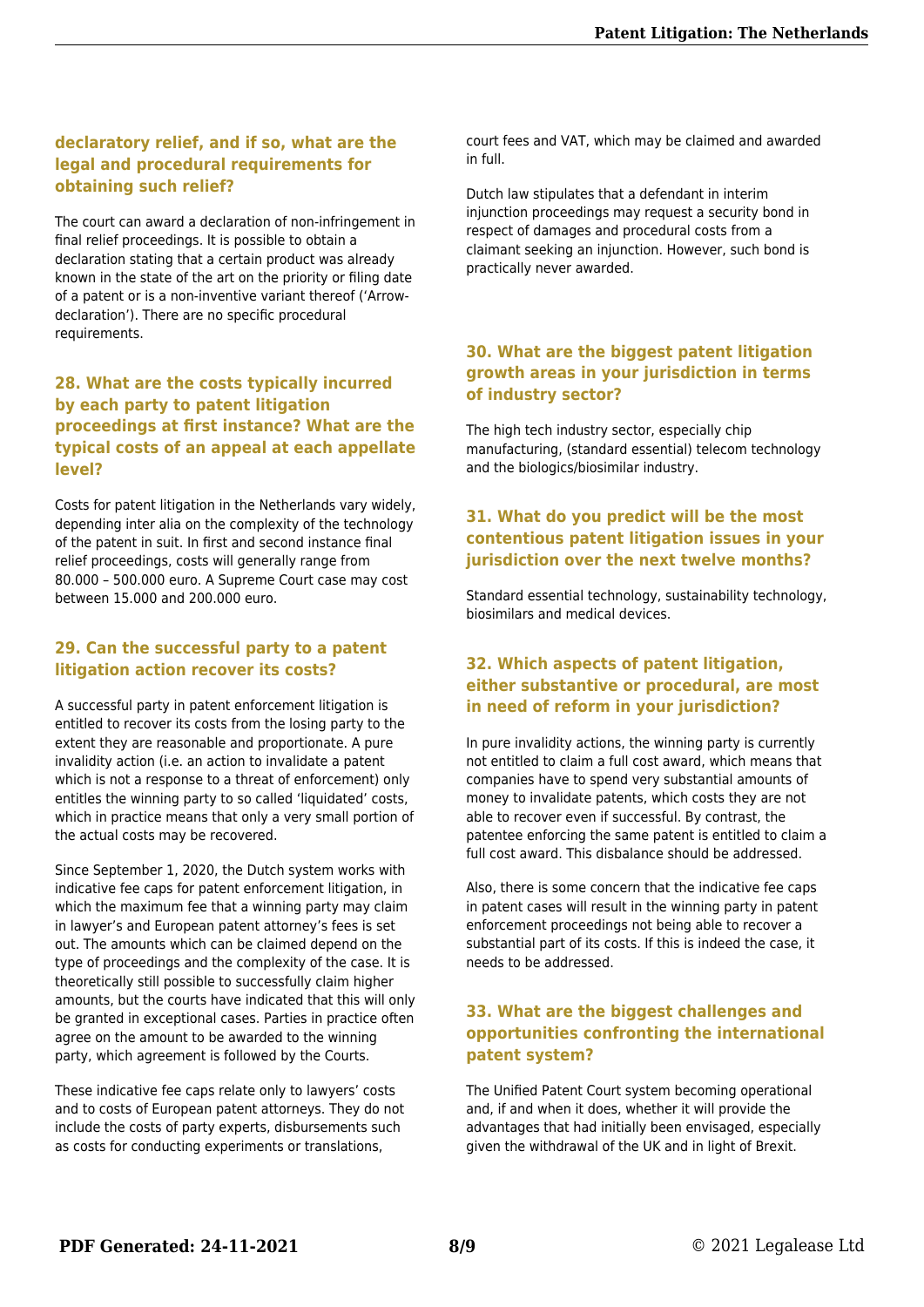#### **declaratory relief, and if so, what are the legal and procedural requirements for obtaining such relief?**

The court can award a declaration of non-infringement in final relief proceedings. It is possible to obtain a declaration stating that a certain product was already known in the state of the art on the priority or filing date of a patent or is a non-inventive variant thereof ('Arrowdeclaration'). There are no specific procedural requirements.

#### **28. What are the costs typically incurred by each party to patent litigation proceedings at first instance? What are the typical costs of an appeal at each appellate level?**

Costs for patent litigation in the Netherlands vary widely, depending inter alia on the complexity of the technology of the patent in suit. In first and second instance final relief proceedings, costs will generally range from 80.000 – 500.000 euro. A Supreme Court case may cost between 15.000 and 200.000 euro.

#### **29. Can the successful party to a patent litigation action recover its costs?**

A successful party in patent enforcement litigation is entitled to recover its costs from the losing party to the extent they are reasonable and proportionate. A pure invalidity action (i.e. an action to invalidate a patent which is not a response to a threat of enforcement) only entitles the winning party to so called 'liquidated' costs, which in practice means that only a very small portion of the actual costs may be recovered.

Since September 1, 2020, the Dutch system works with indicative fee caps for patent enforcement litigation, in which the maximum fee that a winning party may claim in lawyer's and European patent attorney's fees is set out. The amounts which can be claimed depend on the type of proceedings and the complexity of the case. It is theoretically still possible to successfully claim higher amounts, but the courts have indicated that this will only be granted in exceptional cases. Parties in practice often agree on the amount to be awarded to the winning party, which agreement is followed by the Courts.

These indicative fee caps relate only to lawyers' costs and to costs of European patent attorneys. They do not include the costs of party experts, disbursements such as costs for conducting experiments or translations,

court fees and VAT, which may be claimed and awarded in full.

Dutch law stipulates that a defendant in interim injunction proceedings may request a security bond in respect of damages and procedural costs from a claimant seeking an injunction. However, such bond is practically never awarded.

#### **30. What are the biggest patent litigation growth areas in your jurisdiction in terms of industry sector?**

The high tech industry sector, especially chip manufacturing, (standard essential) telecom technology and the biologics/biosimilar industry.

#### **31. What do you predict will be the most contentious patent litigation issues in your jurisdiction over the next twelve months?**

Standard essential technology, sustainability technology, biosimilars and medical devices.

#### **32. Which aspects of patent litigation, either substantive or procedural, are most in need of reform in your jurisdiction?**

In pure invalidity actions, the winning party is currently not entitled to claim a full cost award, which means that companies have to spend very substantial amounts of money to invalidate patents, which costs they are not able to recover even if successful. By contrast, the patentee enforcing the same patent is entitled to claim a full cost award. This disbalance should be addressed.

Also, there is some concern that the indicative fee caps in patent cases will result in the winning party in patent enforcement proceedings not being able to recover a substantial part of its costs. If this is indeed the case, it needs to be addressed.

#### **33. What are the biggest challenges and opportunities confronting the international patent system?**

The Unified Patent Court system becoming operational and, if and when it does, whether it will provide the advantages that had initially been envisaged, especially given the withdrawal of the UK and in light of Brexit.